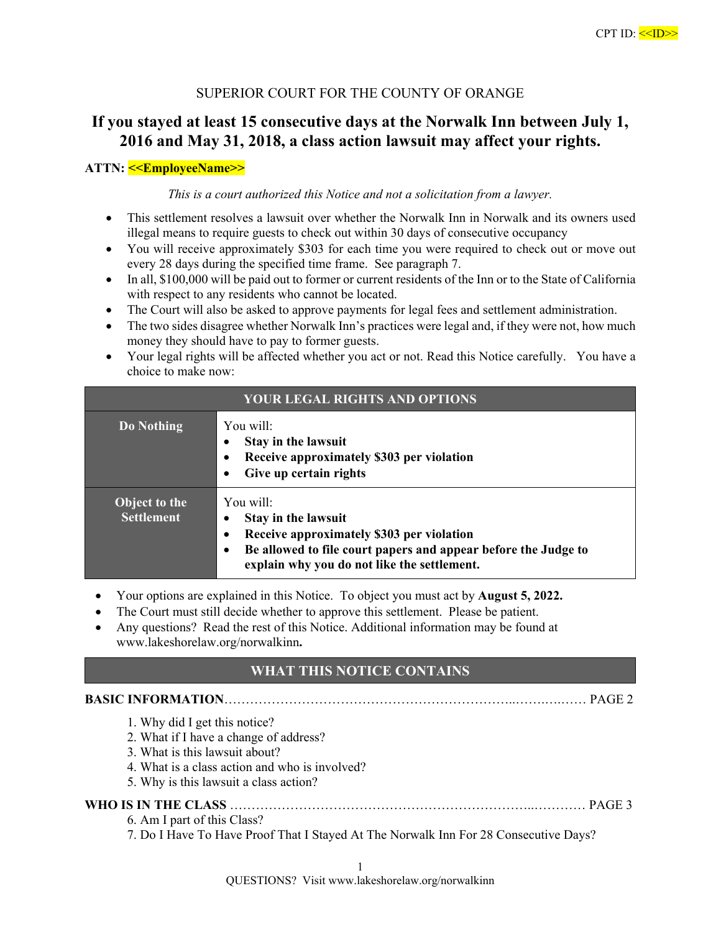# SUPERIOR COURT FOR THE COUNTY OF ORANGE

# **If you stayed at least 15 consecutive days at the Norwalk Inn between July 1, 2016 and May 31, 2018, a class action lawsuit may affect your rights.**

# **ATTN: <<EmployeeName>>**

*This is a court authorized this Notice and not a solicitation from a lawyer.* 

- This settlement resolves a lawsuit over whether the Norwalk Inn in Norwalk and its owners used illegal means to require guests to check out within 30 days of consecutive occupancy
- You will receive approximately \$303 for each time you were required to check out or move out every 28 days during the specified time frame. See paragraph 7.
- In all, \$100,000 will be paid out to former or current residents of the Inn or to the State of California with respect to any residents who cannot be located.
- The Court will also be asked to approve payments for legal fees and settlement administration.
- The two sides disagree whether Norwalk Inn's practices were legal and, if they were not, how much money they should have to pay to former guests.
- Your legal rights will be affected whether you act or not. Read this Notice carefully. You have a choice to make now:

| <b>YOUR LEGAL RIGHTS AND OPTIONS</b>      |                                                                                                                                                                                                          |  |
|-------------------------------------------|----------------------------------------------------------------------------------------------------------------------------------------------------------------------------------------------------------|--|
| <b>Do Nothing</b>                         | You will:<br><b>Stay in the lawsuit</b><br>Receive approximately \$303 per violation<br>Give up certain rights                                                                                           |  |
| <b>Object to the</b><br><b>Settlement</b> | You will:<br>Stay in the lawsuit<br>Receive approximately \$303 per violation<br>٠<br>Be allowed to file court papers and appear before the Judge to<br>٠<br>explain why you do not like the settlement. |  |

- Your options are explained in this Notice. To object you must act by **August 5, 2022.**
- The Court must still decide whether to approve this settlement. Please be patient.
- Any questions? Read the rest of this Notice. Additional information may be found at www.lakeshorelaw.org/norwalkinn**.**

# **WHAT THIS NOTICE CONTAINS**

# **BASIC INFORMATION**…………………………………………………………..…….….…… PAGE 2

- 1. Why did I get this notice?
- 2. What if I have a change of address?
- 3. What is this lawsuit about?
- 4. What is a class action and who is involved?
- 5. Why is this lawsuit a class action?

# **WHO IS IN THE CLASS** ……………………………………………………………..………… PAGE 3

- 6. Am I part of this Class?
- 7. Do I Have To Have Proof That I Stayed At The Norwalk Inn For 28 Consecutive Days?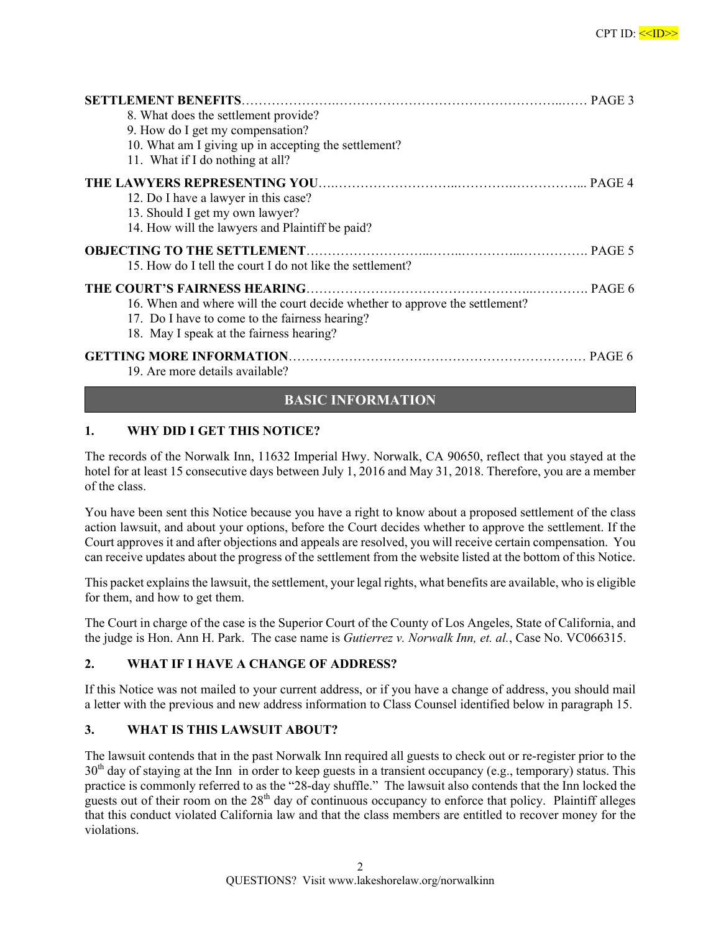| 8. What does the settlement provide?                                        |  |
|-----------------------------------------------------------------------------|--|
| 9. How do I get my compensation?                                            |  |
| 10. What am I giving up in accepting the settlement?                        |  |
| 11. What if I do nothing at all?                                            |  |
|                                                                             |  |
| 12. Do I have a lawyer in this case?                                        |  |
| 13. Should I get my own lawyer?                                             |  |
| 14. How will the lawyers and Plaintiff be paid?                             |  |
|                                                                             |  |
| 15. How do I tell the court I do not like the settlement?                   |  |
|                                                                             |  |
| 16. When and where will the court decide whether to approve the settlement? |  |
| 17. Do I have to come to the fairness hearing?                              |  |
| 18. May I speak at the fairness hearing?                                    |  |
|                                                                             |  |
| 19. Are more details available?                                             |  |

# **BASIC INFORMATION**

# **1. WHY DID I GET THIS NOTICE?**

The records of the Norwalk Inn, 11632 Imperial Hwy. Norwalk, CA 90650, reflect that you stayed at the hotel for at least 15 consecutive days between July 1, 2016 and May 31, 2018. Therefore, you are a member of the class.

You have been sent this Notice because you have a right to know about a proposed settlement of the class action lawsuit, and about your options, before the Court decides whether to approve the settlement. If the Court approves it and after objections and appeals are resolved, you will receive certain compensation. You can receive updates about the progress of the settlement from the website listed at the bottom of this Notice.

This packet explains the lawsuit, the settlement, your legal rights, what benefits are available, who is eligible for them, and how to get them.

The Court in charge of the case is the Superior Court of the County of Los Angeles, State of California, and the judge is Hon. Ann H. Park. The case name is *Gutierrez v. Norwalk Inn, et. al.*, Case No. VC066315.

#### **2. WHAT IF I HAVE A CHANGE OF ADDRESS?**

If this Notice was not mailed to your current address, or if you have a change of address, you should mail a letter with the previous and new address information to Class Counsel identified below in paragraph 15.

#### **3. WHAT IS THIS LAWSUIT ABOUT?**

The lawsuit contends that in the past Norwalk Inn required all guests to check out or re-register prior to the  $30<sup>th</sup>$  day of staying at the Inn in order to keep guests in a transient occupancy (e.g., temporary) status. This practice is commonly referred to as the "28-day shuffle." The lawsuit also contends that the Inn locked the guests out of their room on the  $28<sup>th</sup>$  day of continuous occupancy to enforce that policy. Plaintiff alleges that this conduct violated California law and that the class members are entitled to recover money for the violations.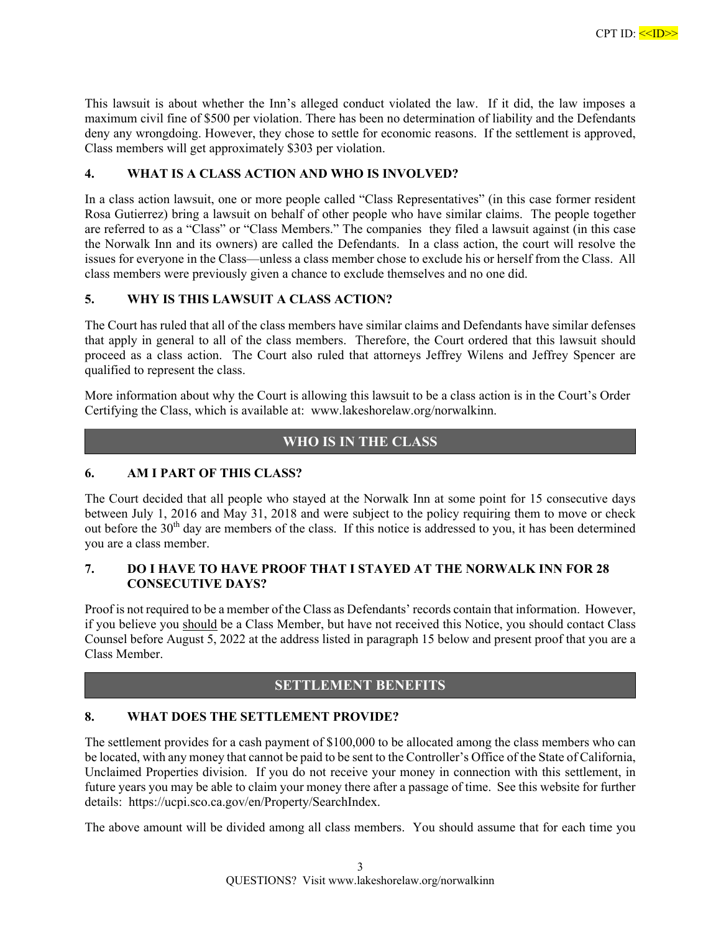This lawsuit is about whether the Inn's alleged conduct violated the law. If it did, the law imposes a maximum civil fine of \$500 per violation. There has been no determination of liability and the Defendants deny any wrongdoing. However, they chose to settle for economic reasons. If the settlement is approved, Class members will get approximately \$303 per violation.

#### **4. WHAT IS A CLASS ACTION AND WHO IS INVOLVED?**

In a class action lawsuit, one or more people called "Class Representatives" (in this case former resident Rosa Gutierrez) bring a lawsuit on behalf of other people who have similar claims. The people together are referred to as a "Class" or "Class Members." The companies they filed a lawsuit against (in this case the Norwalk Inn and its owners) are called the Defendants. In a class action, the court will resolve the issues for everyone in the Class—unless a class member chose to exclude his or herself from the Class. All class members were previously given a chance to exclude themselves and no one did.

#### **5. WHY IS THIS LAWSUIT A CLASS ACTION?**

The Court has ruled that all of the class members have similar claims and Defendants have similar defenses that apply in general to all of the class members. Therefore, the Court ordered that this lawsuit should proceed as a class action. The Court also ruled that attorneys Jeffrey Wilens and Jeffrey Spencer are qualified to represent the class.

More information about why the Court is allowing this lawsuit to be a class action is in the Court's Order Certifying the Class, which is available at: www.lakeshorelaw.org/norwalkinn.

# **WHO IS IN THE CLASS**

#### **6. AM I PART OF THIS CLASS?**

The Court decided that all people who stayed at the Norwalk Inn at some point for 15 consecutive days between July 1, 2016 and May 31, 2018 and were subject to the policy requiring them to move or check out before the 30<sup>th</sup> day are members of the class. If this notice is addressed to you, it has been determined you are a class member.

#### **7. DO I HAVE TO HAVE PROOF THAT I STAYED AT THE NORWALK INN FOR 28 CONSECUTIVE DAYS?**

Proof is not required to be a member of the Class as Defendants' records contain that information. However, if you believe you should be a Class Member, but have not received this Notice, you should contact Class Counsel before August 5, 2022 at the address listed in paragraph 15 below and present proof that you are a Class Member.

# **SETTLEMENT BENEFITS**

#### **8. WHAT DOES THE SETTLEMENT PROVIDE?**

The settlement provides for a cash payment of \$100,000 to be allocated among the class members who can be located, with any money that cannot be paid to be sent to the Controller's Office of the State of California, Unclaimed Properties division. If you do not receive your money in connection with this settlement, in future years you may be able to claim your money there after a passage of time. See this website for further details: https://ucpi.sco.ca.gov/en/Property/SearchIndex.

The above amount will be divided among all class members. You should assume that for each time you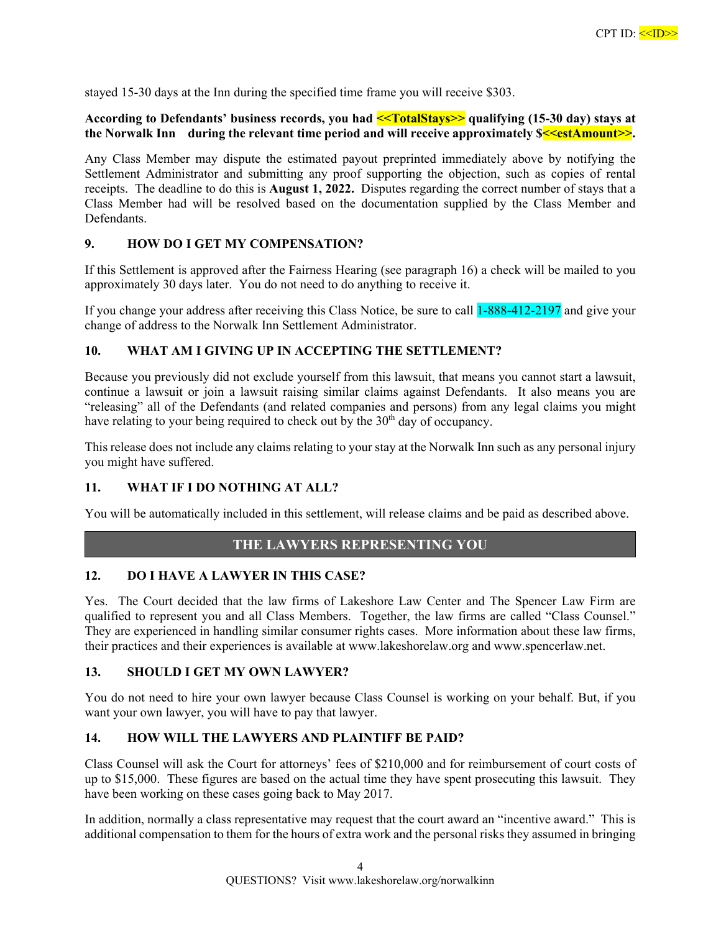stayed 15-30 days at the Inn during the specified time frame you will receive \$303.

#### **According to Defendants' business records, you had <<TotalStays>> qualifying (15-30 day) stays at**  the Norwalk Inn during the relevant time period and will receive approximately  $\sqrt{s}$  = estAmount>>.

Any Class Member may dispute the estimated payout preprinted immediately above by notifying the Settlement Administrator and submitting any proof supporting the objection, such as copies of rental receipts. The deadline to do this is **August 1, 2022.** Disputes regarding the correct number of stays that a Class Member had will be resolved based on the documentation supplied by the Class Member and Defendants.

#### **9. HOW DO I GET MY COMPENSATION?**

If this Settlement is approved after the Fairness Hearing (see paragraph 16) a check will be mailed to you approximately 30 days later. You do not need to do anything to receive it.

If you change your address after receiving this Class Notice, be sure to call 1-888-412-2197 and give your change of address to the Norwalk Inn Settlement Administrator.

# **10. WHAT AM I GIVING UP IN ACCEPTING THE SETTLEMENT?**

Because you previously did not exclude yourself from this lawsuit, that means you cannot start a lawsuit, continue a lawsuit or join a lawsuit raising similar claims against Defendants. It also means you are "releasing" all of the Defendants (and related companies and persons) from any legal claims you might have relating to your being required to check out by the 30<sup>th</sup> day of occupancy.

This release does not include any claims relating to your stay at the Norwalk Inn such as any personal injury you might have suffered.

#### **11. WHAT IF I DO NOTHING AT ALL?**

You will be automatically included in this settlement, will release claims and be paid as described above.

# **THE LAWYERS REPRESENTING YOU**

#### **12. DO I HAVE A LAWYER IN THIS CASE?**

Yes. The Court decided that the law firms of Lakeshore Law Center and The Spencer Law Firm are qualified to represent you and all Class Members. Together, the law firms are called "Class Counsel." They are experienced in handling similar consumer rights cases. More information about these law firms, their practices and their experiences is available at www.lakeshorelaw.org and www.spencerlaw.net.

#### **13. SHOULD I GET MY OWN LAWYER?**

You do not need to hire your own lawyer because Class Counsel is working on your behalf. But, if you want your own lawyer, you will have to pay that lawyer.

# **14. HOW WILL THE LAWYERS AND PLAINTIFF BE PAID?**

Class Counsel will ask the Court for attorneys' fees of \$210,000 and for reimbursement of court costs of up to \$15,000. These figures are based on the actual time they have spent prosecuting this lawsuit. They have been working on these cases going back to May 2017.

In addition, normally a class representative may request that the court award an "incentive award." This is additional compensation to them for the hours of extra work and the personal risks they assumed in bringing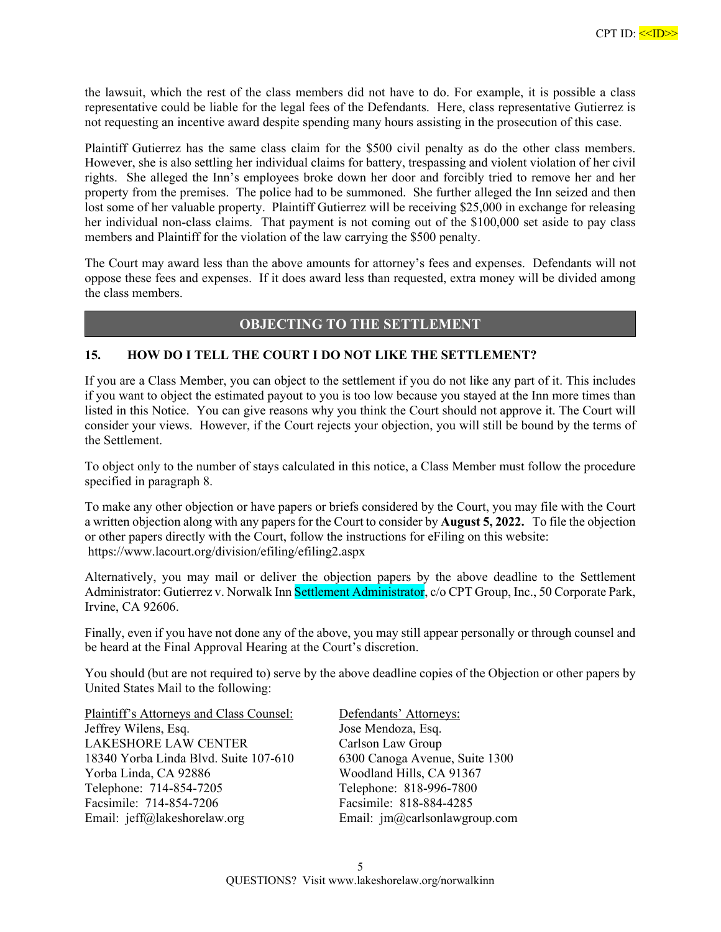the lawsuit, which the rest of the class members did not have to do. For example, it is possible a class representative could be liable for the legal fees of the Defendants. Here, class representative Gutierrez is not requesting an incentive award despite spending many hours assisting in the prosecution of this case.

Plaintiff Gutierrez has the same class claim for the \$500 civil penalty as do the other class members. However, she is also settling her individual claims for battery, trespassing and violent violation of her civil rights. She alleged the Inn's employees broke down her door and forcibly tried to remove her and her property from the premises. The police had to be summoned. She further alleged the Inn seized and then lost some of her valuable property. Plaintiff Gutierrez will be receiving \$25,000 in exchange for releasing her individual non-class claims. That payment is not coming out of the \$100,000 set aside to pay class members and Plaintiff for the violation of the law carrying the \$500 penalty.

The Court may award less than the above amounts for attorney's fees and expenses. Defendants will not oppose these fees and expenses. If it does award less than requested, extra money will be divided among the class members.

# **OBJECTING TO THE SETTLEMENT**

#### **15. HOW DO I TELL THE COURT I DO NOT LIKE THE SETTLEMENT?**

If you are a Class Member, you can object to the settlement if you do not like any part of it. This includes if you want to object the estimated payout to you is too low because you stayed at the Inn more times than listed in this Notice. You can give reasons why you think the Court should not approve it. The Court will consider your views. However, if the Court rejects your objection, you will still be bound by the terms of the Settlement.

To object only to the number of stays calculated in this notice, a Class Member must follow the procedure specified in paragraph 8.

To make any other objection or have papers or briefs considered by the Court, you may file with the Court a written objection along with any papers for the Court to consider by **August 5, 2022.** To file the objection or other papers directly with the Court, follow the instructions for eFiling on this website: https://www.lacourt.org/division/efiling/efiling2.aspx

Alternatively, you may mail or deliver the objection papers by the above deadline to the Settlement Administrator: Gutierrez v. Norwalk Inn Settlement Administrator, c/o CPT Group, Inc., 50 Corporate Park, Irvine, CA 92606.

Finally, even if you have not done any of the above, you may still appear personally or through counsel and be heard at the Final Approval Hearing at the Court's discretion.

You should (but are not required to) serve by the above deadline copies of the Objection or other papers by United States Mail to the following:

Plaintiff's Attorneys and Class Counsel: Defendants' Attorneys: Jeffrey Wilens, Esq. Jose Mendoza, Esq. LAKESHORE LAW CENTER Carlson Law Group 18340 Yorba Linda Blvd. Suite 107-610 6300 Canoga Avenue, Suite 1300 Yorba Linda, CA 92886 Woodland Hills, CA 91367 Telephone: 714-854-7205 Telephone: 818-996-7800 Facsimile: 714-854-7206 Facsimile: 818-884-4285 Email: jeff@lakeshorelaw.org Email: jm@carlsonlawgroup.com